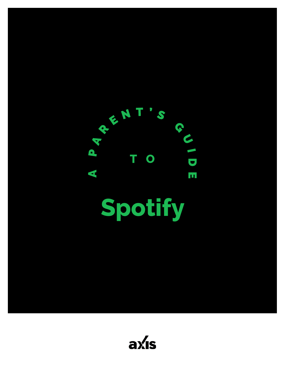

**Spotify**

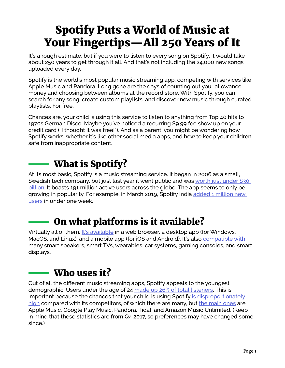# Spotify Puts a World of Music at Your Fingertips—All 250 Years of It

It's a rough estimate, but if you were to listen to every song on Spotify, it would take about 250 years to get through it all. And that's not including the 24,000 new songs uploaded every day.

Spotify is the world's most popular music streaming app, competing with services like Apple Music and Pandora. Long gone are the days of counting out your allowance money and choosing between albums at the record store. With Spotify, you can search for any song, create custom playlists, and discover new music through curated playlists. For free.

Chances are, your child is using this service to listen to anything from Top 40 hits to 1970s German Disco. Maybe you've noticed a recurring \$9.99 fee show up on your credit card ("I thought it was free!"). And as a parent, you might be wondering how Spotify works, whether it's like other social media apps, and how to keep your children safe from inappropriate content.

## What is Spotify?

At its most basic, Spotify is a music streaming service. It began in 2006 as a small, Swedish tech company, but just last year it went public and was worth just under \$30 [billion](https://variety.com/2018/digital/news/spotify-ipo-market-value-1202742246/). It boasts 191 million active users across the globe. The app seems to only be growing in popularity. For example, in March 2019, Spotify India [added 1 million new](https://www.cnn.com/2019/03/05/tech/spotify-india-1-million-users/index.html)  [users](https://www.cnn.com/2019/03/05/tech/spotify-india-1-million-users/index.html) in under one week.

## On what platforms is it available?

Virtually all of them. [It's available](https://support.spotify.com/is/listen_everywhere/on_other_devices/spotify-supported-devices/) in a web browser, a desktop app (for Windows, MacOS, and Linux), and a mobile app (for iOS and Android). It's also [compatible with](https://spotify-everywhere.com/) many smart speakers, smart TVs, wearables, car systems, gaming consoles, and smart displays.

## $-$  Who uses it?

Out of all the different music streaming apps, Spotify appeals to the youngest demographic. Users under the age of 24 [made up 26% of total listeners.](https://www.statista.com/statistics/475821/spotify-users-age-usa/) This is important because the chances that your child is using Spotify [is disproportionately](http://www.businessofapps.com/data/spotify-statistics/)  [high](http://www.businessofapps.com/data/spotify-statistics/) compared with its competitors, of which there are many, but [the main ones](https://www.cnet.com/how-to/best-music-streaming-service/) are Apple Music, Google Play Music, Pandora, Tidal, and Amazon Music Unlimited. (Keep in mind that these statistics are from Q4 2017, so preferences may have changed some since.)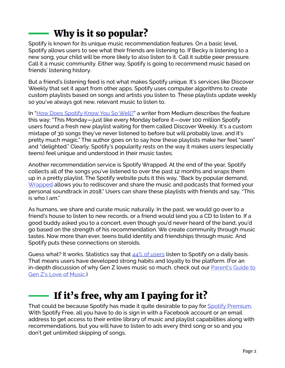# Why is it so popular?

Spotify is known for its unique music recommendation features. On a basic level, Spotify allows users to see what their friends are listening to. If Becky is listening to a new song, your child will be more likely to also listen to it. Call it subtle peer pressure. Call it a music community. Either way, Spotify is going to recommend music based on friends' listening history.

But a friend's listening feed is not what makes Spotify unique. It's services like Discover Weekly that set it apart from other apps. Spotify uses computer algorithms to create custom playlists based on songs and artists you listen to. These playlists update weekly so you've always got new, relevant music to listen to.

In ["How Does Spotify Know You So Well?](https://medium.com/s/story/spotifys-discover-weekly-how-machine-learning-finds-your-new-music-19a41ab76efe)" a writer from Medium describes the feature this way: "This Monday—just like every Monday before it—over 100 million Spotify users found a fresh new playlist waiting for them called Discover Weekly. It's a custom mixtape of 30 songs they've never listened to before but will probably love, and it's pretty much magic." The author goes on to say how these playlists make her feel "seen" and "delighted." Clearly, Spotify's popularity rests on the way it makes users (especially teens) feel unique and understood in their music tastes.

Another recommendation service is Spotify Wrapped. At the end of the year, Spotify collects all of the songs you've listened to over the past 12 months and wraps them up in a pretty playlist. The Spotify website puts it this way, "Back by popular demand, [Wrapped](https://spotifywrapped.com/?utm_source=newsroom&utm_medium=wrapped&utm_campaign=2018q4_markets_single_brandbuilding_holiday) allows you to rediscover and share the music and podcasts that formed your personal soundtrack in 2018." Users can share these playlists with friends and say, "This is who I am."

As humans, we share and curate music naturally. In the past, we would go over to a friend's house to listen to new records, or a friend would lend you a CD to listen to. If a good buddy asked you to a concert, even though you'd never heard of the band, you'd go based on the strength of his recommendation. We create community through music tastes. Now more than ever, teens build identity and friendships through music. And Spotify puts these connections on steroids.

Guess what? It works. Statistics say that  $44\%$  of users listen to Spotify on a daily basis. That means users have developed strong habits and loyalty to the platform. (For an in-depth discussion of why Gen Z loves music so much, check out our **Parent's Guide to** [Gen Z's Love of Music.](https://axis.org/product/membership-product-for-genzs-love-of-music/))

### If it's free, why am I paying for it?

That could be because Spotify has made it quite desirable to pay for [Spotify Premium](https://www.spotify.com/us/premium/). With Spotify Free, all you have to do is sign in with a Facebook account or an email address to get access to their entire library of music and playlist capabilities along with recommendations, but you will have to listen to ads every third song or so and you don't get unlimited skipping of songs.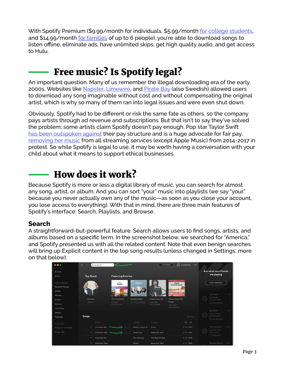With Spotify Premium (\$9.99/month for individuals, \$5.99/month [for college students,](https://www.spotify.com/us/student/) and \$14.99/month [for families](https://www.spotify.com/us/family/) of up to 6 people), you're able to download songs to listen offline, eliminate ads, have unlimited skips, get high quality audio, and get access to Hulu.

### Free music? Is Spotify legal?

An important question. Many of us remember the illegal downloading era of the early 2000s. Websites like [Napster](https://en.wikipedia.org/wiki/Napster), [Limewire,](https://en.wikipedia.org/wiki/LimeWire) and [Pirate Bay](https://en.wikipedia.org/wiki/The_Pirate_Bay) (also Swedish) allowed users to download any song imaginable without cost and without compensating the original artist, which is why so many of them ran into legal issues and were even shut down.

Obviously, Spotify had to be different or risk the same fate as others, so the company pays artists through ad revenue and subscriptions. But that isn't to say they've solved the problem; some artists claim Spotify doesn't pay enough. Pop star Taylor Swift [has been outspoken against](https://www.engadget.com/2018/11/20/taylor-swift-umg-artists-profit-spotify-shares/) their pay structure and is a huge advocate for fair pay, [removing her music](https://www.billboard.com/articles/columns/pop/7825570/taylor-swift-spotify-streaming-again) from all streaming services (except Apple Music) from 2014-2017 in protest. So while Spotify is legal to use, it may be worth having a conversation with your child about what it means to support ethical businesses.

#### How does it work?

Because Spotify is more or less a digital library of music, you can search for almost any song, artist, or album. And you can sort "your" music into playlists (we say "your" because you never actually own any of the music—as soon as you close your account, you lose access to everything). With that in mind, there are three main features of Spotify's interface: Search, Playlists, and Browse.

#### **Search**

A straightforward-but-powerful feature. Search allows users to find songs, artists, and albums based on a specific term. In the screenshot below, we searched for "America," and Spotify presented us with all the related content. Note that even benign searches will bring up Explicit content in the top song results (unless changed in Settings; more on that below).

| $\bullet\bullet\bullet$         | $\langle \rangle$<br>Q America | 2345 User12345<br>$\sqrt{2}$<br>UPGRADE                       |                               |                            |  |                                   |        |  |
|---------------------------------|--------------------------------|---------------------------------------------------------------|-------------------------------|----------------------------|--|-----------------------------------|--------|--|
| Browse                          |                                |                                                               |                               |                            |  | See what your friends             |        |  |
| Radio                           | <b>Top Result</b>              | <b>Featuring America</b>                                      |                               |                            |  | are playing                       |        |  |
| YOUR LIBRARY<br>Recently Played |                                | Twith 16<br>America                                           | America<br>*****              | Classic<br>Roadtrip Songs  |  | <b>FIND FRIENDS</b>               |        |  |
| Songs                           |                                | <b>RICA</b>                                                   |                               |                            |  |                                   |        |  |
| Albums                          |                                |                                                               |                               |                            |  | Julia Eger<br>Heartbeats          | $\Box$ |  |
| <b>Artists</b>                  | America<br>ARTIST              | This Is America<br>America Radio<br>22.905<br>1.111 FOLLOWERS | Classic Acoustic<br>1,442,587 | Classic Road Trip<br>Songs |  | José González                     |        |  |
| <b>Stations</b>                 |                                | FOLLOWERS                                                     | FOLLOWERS                     | 1.631.806                  |  | JJ The Indie Mix                  |        |  |
| Local Files                     |                                |                                                               |                               | FOLLOWERS                  |  | Ben Khan                          | $\Box$ |  |
| Videos                          |                                |                                                               |                               |                            |  | Night Changes                     |        |  |
| Podcasts                        | Songs                          |                                                               |                               | SEE ALL                    |  | One Direction<br>Sy One Direction |        |  |
| PLAYLISTS                       | TITLE                          | ARTIST                                                        | <b>ALBUM</b>                  | $\odot$<br>$\circ$         |  |                                   |        |  |
| Songs for my friends            | American Boy                   | EXPLICIT                                                      | Shine<br>Estelle, Kanye W.    | 4:45 000                   |  | Sean Aquilina                     | 12m    |  |
| Songs I like                    | ÷<br>American Idiot            | Green Day                                                     | American Idiot                | 2:56 0000                  |  | Flashing Lights<br>Kanye West     |        |  |
|                                 | $^{+}$<br>American Pie         |                                                               | The Best Of Don<br>Don McLean | 8:36 0000                  |  | © Graduation                      |        |  |
|                                 | ÷<br>American Teen             | Khalid                                                        | American Teen                 | 4:11 0000                  |  | Maddie Stocker                    | 25m    |  |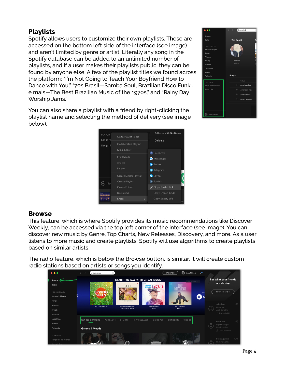#### **Playlists**

Spotify allows users to customize their own playlists. These are accessed on the bottom left side of the interface (see image) and aren't limited by genre or artist. Literally any song in the Spotify database can be added to an unlimited number of playlists, and if a user makes their playlists public, they can be found by anyone else. A few of the playlist titles we found across the platform: "I'm Not Going to Teach Your Boyfriend How to Dance with You," "70s Brasil—Samba Soul, Brazilian Disco Funk… e mais—The Best Brazilian Music of the 1970s," and "Rainy Day Worship Jams."



You can also share a playlist with a friend by right-clicking the playlist name and selecting the method of delivery (see image below).



#### **Browse**

This feature, which is where Spotify provides its music recommendations like Discover Weekly, can be accessed via the top left corner of the interface (see image). You can discover new music by Genre, Top Charts, New Releases, Discovery, and more. As a user listens to more music and create playlists, Spotify will use algorithms to create playlists based on similar artists.

The radio feature, which is below the Browse button, is similar. It will create custom radio stations based on artists or songs you identify.

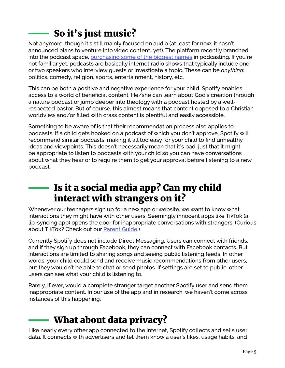# So it's just music?

Not anymore, though it's still mainly focused on audio (at least for now; it hasn't announced plans to venture into video content...yet). The platform recently branched into the podcast space, [purchasing some of the biggest names](https://www.theverge.com/2019/3/5/18243729/spotify-podcast-strategy-gimlet-media-anchor-purchase) in podcasting. If you're not familiar yet, podcasts are basically internet radio shows that typically include one or two speakers who interview guests or investigate a topic. These can be *anything*: politics, comedy, religion, sports, entertainment, history, etc.

This can be both a positive and negative experience for your child. Spotify enables access to a world of beneficial content. He/she can learn about God's creation through a nature podcast or jump deeper into theology with a podcast hosted by a wellrespected pastor. But of course, this almost means that content opposed to a Christian worldview and/or filled with crass content is plentiful and easily accessible.

Something to be aware of is that their recommendation process also applies to podcasts. If a child gets hooked on a podcast of which you don't approve, Spotify will recommend similar podcasts, making it all too easy for your child to find unhealthy ideas and viewpoints. This doesn't necessarily mean that it's bad, just that it might be appropriate to listen to podcasts with your child so you can have conversations about what they hear or to require them to get your approval before listening to a new podcast.

### Is it a social media app? Can my child interact with strangers on it?

Whenever our teenagers sign up for a new app or website, we want to know what interactions they might have with other users. Seemingly innocent apps like TikTok (a lip-syncing app) opens the door for inappropriate conversations with strangers. (Curious about TikTok? Check out our **Parent Guide.**)

Currently Spotify does not include Direct Messaging. Users can connect with friends, and if they sign up through Facebook, they can connect with Facebook contacts. But interactions are limited to sharing songs and seeing public listening feeds. In other words, your child could send and receive music recommendations from other users, but they wouldn't be able to chat or send photos. If settings are set to public, other users can see what your child is listening to.

Rarely, if ever, would a complete stranger target another Spotify user and send them inappropriate content. In our use of the app and in research, we haven't come across instances of this happening.

## What about data privacy?

Like nearly every other app connected to the internet, Spotify collects and sells user data. It connects with advertisers and let them know a user's likes, usage habits, and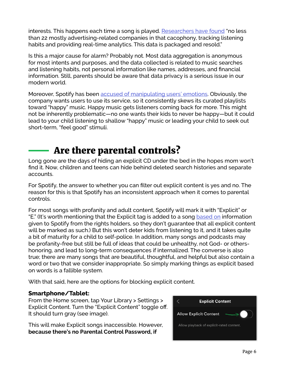interests. This happens each time a song is played. [Researchers have found](https://bigthink.com/technology-innovation/is-spotify-spying-on-you?rebelltitem=3#rebelltitem3) "no less than 22 mostly advertising-related companies in that cacophony, tracking listening habits and providing real-time analytics. This data is packaged and resold."

Is this a major cause for alarm? Probably not. Most data aggregation is anonymous for most intents and purposes, and the data collected is related to music searches and listening habits, not personal information like names, addresses, and financial information. Still, parents should be aware that data privacy is a serious issue in our modern world.

Moreover, Spotify has been [accused of manipulating users' emotions.](https://bigthink.com/technology-innovation/is-spotify-spying-on-you?rebelltitem=3#rebelltitem3) Obviously, the company wants users to use its service, so it consistently skews its curated playlists toward "happy" music. Happy music gets listeners coming back for more. This might not be inherently problematic—no one wants their kids to never be happy—but it could lead to your child listening to shallow "happy" music or leading your child to seek out short-term, "feel good" stimuli.

### Are there parental controls?

Long gone are the days of hiding an explicit CD under the bed in the hopes mom won't find it. Now, children and teens can hide behind deleted search histories and separate accounts.

For Spotify, the answer to whether you can filter out explicit content is yes and no. The reason for this is that Spotify has an inconsistent approach when it comes to parental controls.

For most songs with profanity and adult content, Spotify will mark it with "Explicit" or "E." (It's worth mentioning that the Explicit tag is added to a song [based on](https://support.spotify.com/us/using_spotify/system_settings/content-censor/) information given to Spotify from the rights holders, so they don't guarantee that all explicit content will be marked as such.) But this won't deter kids from listening to it, and it takes quite a bit of maturity for a child to self-police. In addition, many songs and podcasts may be profanity-free but still be full of ideas that could be unhealthy, not God- or othershonoring, and lead to long-term consequences if internalized. The converse is also true; there are many songs that are beautiful, thoughtful, and helpful but also contain a word or two that we consider inappropriate. So simply marking things as explicit based on words is a fallible system.

With that said, here are the options for blocking explicit content.

#### **Smartphone/Tablet:**

From the Home screen, tap Your Library > Settings > Explicit Content. Turn the "Explicit Content" toggle off. It should turn gray (see image).

This will make Explicit songs inaccessible. However, **because there's no Parental Control Password, if** 

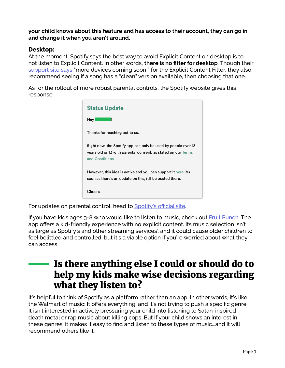**your child knows about this feature and has access to their account, they can go in and change it when you aren't around.**

#### **Desktop:**

At the moment, Spotify says the best way to avoid Explicit Content on desktop is to not listen to Explicit Content. In other words, **there is no filter for desktop**. Though their [support site says](https://support.spotify.com/us/using_spotify/system_settings/content-censor/) "more devices coming soon!" for the Explicit Content Filter, they also recommend seeing if a song has a "clean" version available, then choosing that one.

As for the rollout of more robust parental controls, the Spotify website gives this response:

| <b>Status Update</b>                                                                                                                              |
|---------------------------------------------------------------------------------------------------------------------------------------------------|
| Hey l                                                                                                                                             |
| Thanks for reaching out to us.                                                                                                                    |
| Right now, the Spotify app can only be used by people over 18<br>years old or 13 with parental consent, as stated on our Terms<br>and Conditions. |
| However, this idea is active and you can support it here. As<br>soon as there's an update on this, it'll be posted there.                         |
| Cheers.                                                                                                                                           |

For updates on parental control, head to [Spotify's official site](https://support.spotify.com/is/using_spotify/system_settings/content-censor/).

If you have kids ages 3-8 who would like to listen to music, check out [Fruit Punch.](https://fruitpunchapp.com/) The app offers a kid-friendly experience with no explicit content. Its music selection isn't as large as Spotify's and other streaming services', and it could cause older children to feel belittled and controlled, but it's a viable option if you're worried about what they can access.

#### Is there anything else I could or should do to help my kids make wise decisions regarding what they listen to?

It's helpful to think of Spotify as a platform rather than an app. In other words, it's like the Walmart of music: It offers everything, and it's not trying to push a specific genre. It isn't interested in actively pressuring your child into listening to Satan-inspired death metal or rap music about killing cops. But if your child shows an interest in these genres, it makes it easy to find and listen to these types of music...and it will recommend others like it.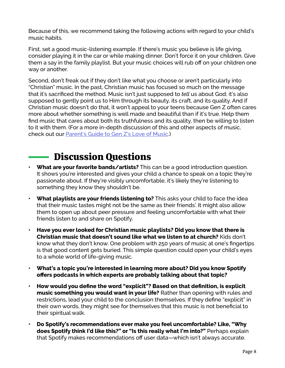Because of this, we recommend taking the following actions with regard to your child's music habits.

First, set a good music-listening example. If there's music you believe is life giving, consider playing it in the car or while making dinner. Don't force it on your children. Give them a say in the family playlist. But your music choices will rub off on your children one way or another.

Second, don't freak out if they don't like what you choose or aren't particularly into "Christian" music. In the past, Christian music has focused so much on the message that it's sacrificed the method. Music isn't just supposed to *tell* us about God; it's also supposed to gently point us to Him through its beauty, its craft, and its quality. And if Christian music doesn't do that, it won't appeal to your teens because Gen Z often cares more about whether something is well made and beautiful than if it's true. Help them find music that cares about both its truthfulness and its quality, then be willing to listen to it with them. (For a more in-depth discussion of this and other aspects of music, check out our [Parent's Guide to Gen Z's Love of Music](https://axis.org/product/membership-product-for-genzs-love-of-music/).)

### Discussion Questions

- **• What are your favorite bands/artists?** This can be a good introduction question. It shows you're interested and gives your child a chance to speak on a topic they're passionate about. If they're visibly uncomfortable, it's likely they're listening to something they know they shouldn't be.
- **• What playlists are your friends listening to?** This asks your child to face the idea that their music tastes might not be the same as their friends'. It might also allow them to open up about peer pressure and feeling uncomfortable with what their friends listen to and share on Spotify.
- **• Have you ever looked for Christian music playlists? Did you know that there is Christian music that doesn't sound like what we listen to at church?** Kids don't know what they don't know. One problem with 250 years of music at one's fingertips is that good content gets buried. This simple question could open your child's eyes to a whole world of life-giving music.
- **• What's a topic you're interested in learning more about? Did you know Spotify offers podcasts in which experts are probably talking about that topic?**
- **• How would you define the word "explicit"? Based on that definition, is explicit music something you would want in your life?** Rather than opening with rules and restrictions, lead your child to the conclusion themselves. If they define "explicit" in their own words, they might see for themselves that this music is not beneficial to their spiritual walk.
- **• Do Spotify's recommendations ever make you feel uncomfortable? Like, "Why does Spotify think I'd like this?" or "Is this really what I'm into?"** Perhaps explain that Spotify makes recommendations off user data—which isn't always accurate.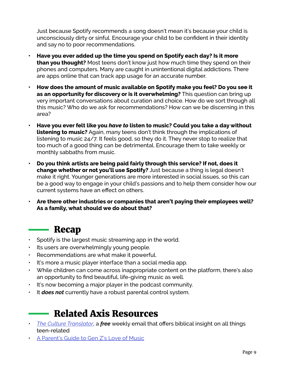Just because Spotify recommends a song doesn't mean it's because your child is unconsciously dirty or sinful. Encourage your child to be confident in their identity and say no to poor recommendations.

- **• Have you ever added up the time you spend on Spotify each day? Is it more than you thought?** Most teens don't know just how much time they spend on their phones and computers. Many are caught in unintentional digital addictions. There are apps online that can track app usage for an accurate number.
- **• How does the amount of music available on Spotify make you feel? Do you see it as an opportunity for discovery or is it overwhelming?** This question can bring up very important conversations about curation and choice. How do we sort through all this music? Who do we ask for recommendations? How can we be discerning in this area?
- **• Have you ever felt like you** *have to* **listen to music? Could you take a day without listening to music?** Again, many teens don't think through the implications of listening to music 24/7. It feels good, so they do it. They never stop to realize that too much of a good thing can be detrimental. Encourage them to take weekly or monthly sabbaths from music.
- **• Do you think artists are being paid fairly through this service? If not, does it change whether or not you'll use Spotify?** Just because a thing is legal doesn't make it right. Younger generations are more interested in social issues, so this can be a good way to engage in your child's passions and to help them consider how our current systems have an effect on others.
- **• Are there other industries or companies that aren't paying their employees well? As a family, what should we do about that?**

#### Recap

- Spotify is the largest music streaming app in the world.
- Its users are overwhelmingly young people.
- Recommendations are what make it powerful.
- It's more a music player interface than a social media app.
- While children can come across inappropriate content on the platform, there's also an opportunity to find beautiful, life-giving music as well.
- It's now becoming a major player in the podcast community.
- It *does not* currently have a robust parental control system.

#### Related Axis Resources

- *• [The Culture Translator](https://axis.org/ct/)*, a *free* weekly email that offers biblical insight on all things teen-related
- [A Parent's Guide to Gen Z's Love of Music](https://axis.org/product/membership-product-for-genzs-love-of-music/)